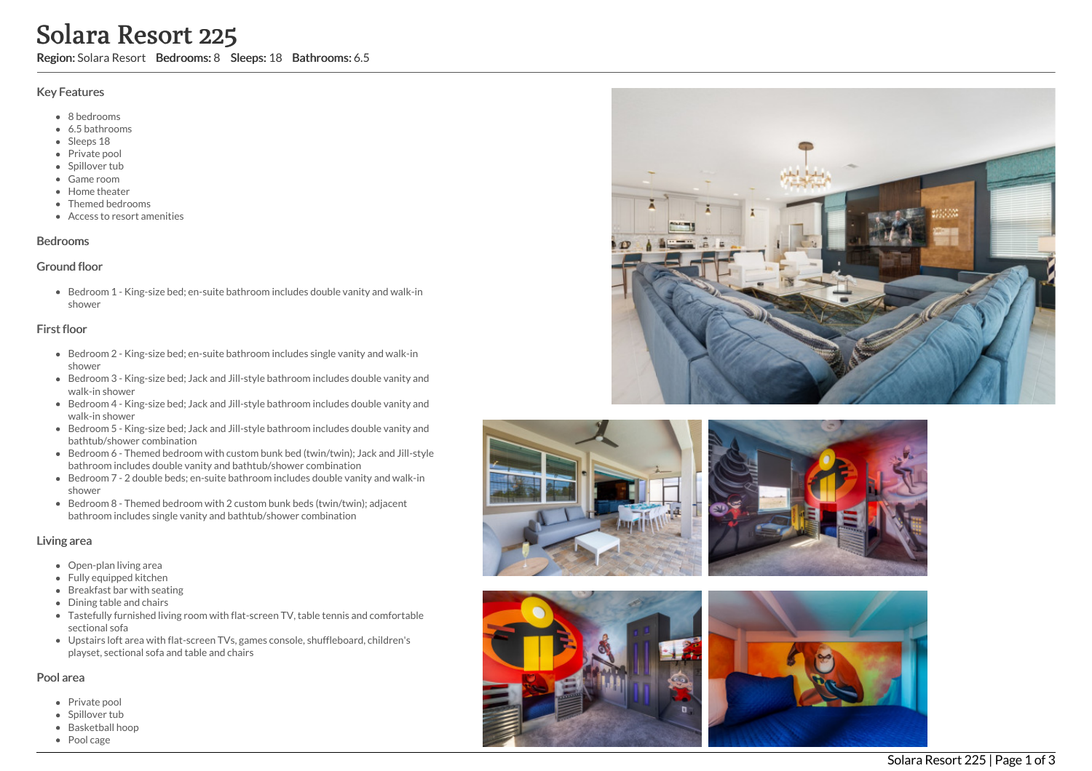# Solara Resort 225

Region: Solara Resort Bedrooms: 8 Sleeps: 18 Bathrooms: 6.5

## Key Features

- 8 b e d r o o m s
- 6.5 b a t h r o o m s
- Sleeps 18
- Private pool
- Spillover tub
- Game room
- Home theate r
- Themed bedrooms
- Access to resort amenities

#### **Bedrooms**

#### Ground floor

Bedroom 1 - King-size bed; en-suite bathroom includes double vanity and walk-in s h o w e r

## First floor

- Bedroom 2 King-size bed; en-suite bathroom includes single vanity and walk-in s h o w e r
- Bedroom 3 King-size bed; Jack and Jill-style bathroom includes double vanity and walk-in shower
- Bedroom 4 King-size bed; Jack and Jill-style bathroom includes double vanity and w alk -in s h o w e r
- Bedroom 5 King-size bed; Jack and Jill-style bathroom includes double vanity and bathtub/shower combination
- Bedroom 6 Themed bedroom with custom bunk bed (twin/twin); Jack and Jill-style bathroom includes double vanity and bathtub/shower combination
- Bedroom 7 2 double beds; en-suite bathroom includes double vanity and walk-in s h o w e r
- Bedroom 8 Themed bedroom with 2 custom bunk beds (twin/twin); adjacent bathroom includes single vanity and bathtub/shower combination

#### Living area

- Open-plan living area
- Fully equipped kitchen
- Breakfast bar with seating
- Dining table and chairs
- Tastefully furnished living room with flat-screen TV, table tennis and comfortable s e c tio n al s o f a
- Upstairs loft area with flat-screen TVs, games console, shuffleboard, children's playset, sectional sofa and table and chairs

#### Pool area

- Private pool
- Spillover tub
- Basketball ho o p
- Pool cage









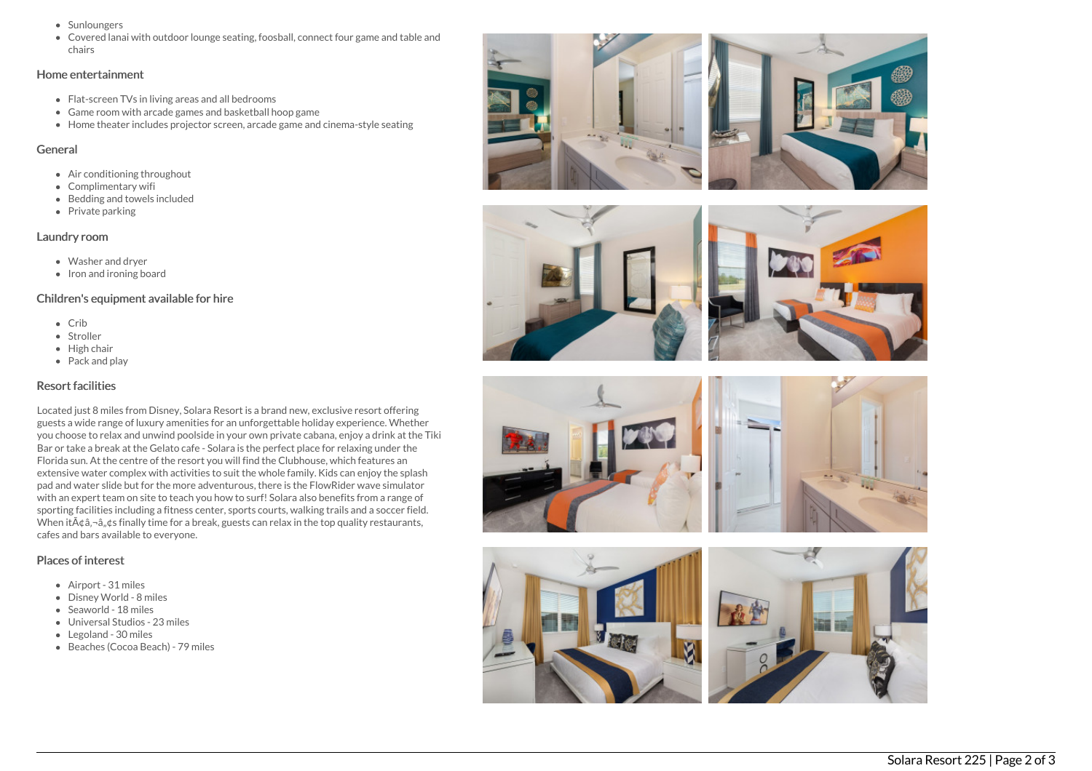- Sunloungers
- Covered lanai with outdoor lounge seating, foosball, connect four game and table and chairs

#### Home entertainment

- Flat-screen TVs in living areas and all bedrooms
- Game room with arcade games and basketball hoop game
- Home theater includes projector screen, arcade game and cinema-style seating

## General

- Air conditioning throughout
- Complimentary wifi
- Bedding and towels included
- Private parking

## Laundry room

- Washer and dryer
- Iron and ironing board

# Children's equipment available for hire

- $\bullet$  Crib
- Stroller
- $\bullet$  High chair
- Pack and play

## Resort facilities

Located just 8 miles from Disney, Solara Resort is a brand new, exclusive resort offering guests a wide range of luxury amenities for an unforgettable holiday experience. Whether you choose to relax and unwind poolside in your own private cabana, enjoy a drink at the Tiki Bar or take a break at the Gelato cafe - Solara is the perfect place for relaxing under the Florida sun. At the centre of the resort you will find the Clubhouse, which features an extensive water complex with activities to suit the whole family. Kids can enjoy the splash pad and water slide but for the more adventurous, there is the FlowRider wave simulator with an expert team on site to teach you how to surf! Solara also benefits from a range of sporting facilities including a fitness center, sports courts, walking trails and a soccer field. When it $\tilde{A}$  $\tilde{a}$ , $\tilde{a}$ , $\tilde{a}$ , $\tilde{a}$  finally time for a break, guests can relax in the top quality restaurants, cafes and bars available to everyone.

## Places of interest

- Airport 31 miles
- Disney World 8 miles
- Seaworld 18 miles
- Universal Studios 23 miles
- Legoland 30 miles
- Beaches (Cocoa Beach) 79 miles